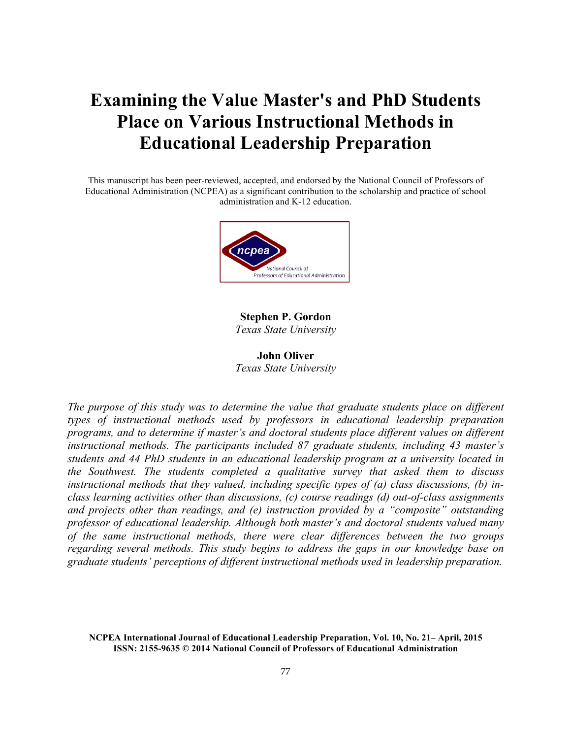# **Examining the Value Master's and PhD Students Place on Various Instructional Methods in Educational Leadership Preparation**

This manuscript has been peer-reviewed, accepted, and endorsed by the National Council of Professors of Educational Administration (NCPEA) as a significant contribution to the scholarship and practice of school administration and K-12 education.



**Stephen P. Gordon** *Texas State University*

**John Oliver** *Texas State University*

*The purpose of this study was to determine the value that graduate students place on different types of instructional methods used by professors in educational leadership preparation programs, and to determine if master's and doctoral students place different values on different instructional methods. The participants included 87 graduate students, including 43 master's students and 44 PhD students in an educational leadership program at a university located in the Southwest. The students completed a qualitative survey that asked them to discuss instructional methods that they valued, including specific types of (a) class discussions, (b) inclass learning activities other than discussions, (c) course readings (d) out-of-class assignments and projects other than readings, and (e) instruction provided by a "composite" outstanding professor of educational leadership. Although both master's and doctoral students valued many of the same instructional methods, there were clear differences between the two groups regarding several methods. This study begins to address the gaps in our knowledge base on graduate students' perceptions of different instructional methods used in leadership preparation.* 

**NCPEA International Journal of Educational Leadership Preparation, Vol. 10, No. 21– April, 2015 ISSN: 2155-9635 © 2014 National Council of Professors of Educational Administration**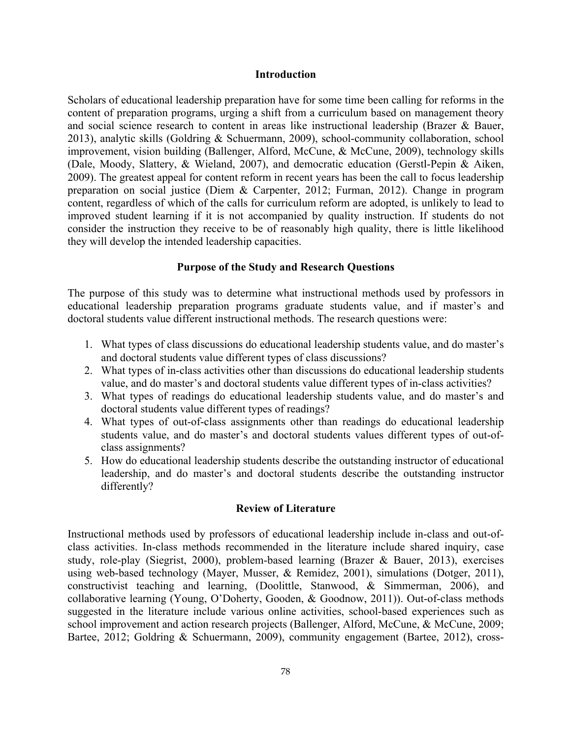# **Introduction**

Scholars of educational leadership preparation have for some time been calling for reforms in the content of preparation programs, urging a shift from a curriculum based on management theory and social science research to content in areas like instructional leadership (Brazer & Bauer, 2013), analytic skills (Goldring & Schuermann, 2009), school-community collaboration, school improvement, vision building (Ballenger, Alford, McCune, & McCune, 2009), technology skills (Dale, Moody, Slattery, & Wieland, 2007), and democratic education (Gerstl-Pepin & Aiken, 2009). The greatest appeal for content reform in recent years has been the call to focus leadership preparation on social justice (Diem & Carpenter, 2012; Furman, 2012). Change in program content, regardless of which of the calls for curriculum reform are adopted, is unlikely to lead to improved student learning if it is not accompanied by quality instruction. If students do not consider the instruction they receive to be of reasonably high quality, there is little likelihood they will develop the intended leadership capacities.

# **Purpose of the Study and Research Questions**

The purpose of this study was to determine what instructional methods used by professors in educational leadership preparation programs graduate students value, and if master's and doctoral students value different instructional methods. The research questions were:

- 1. What types of class discussions do educational leadership students value, and do master's and doctoral students value different types of class discussions?
- 2. What types of in-class activities other than discussions do educational leadership students value, and do master's and doctoral students value different types of in-class activities?
- 3. What types of readings do educational leadership students value, and do master's and doctoral students value different types of readings?
- 4. What types of out-of-class assignments other than readings do educational leadership students value, and do master's and doctoral students values different types of out-ofclass assignments?
- 5. How do educational leadership students describe the outstanding instructor of educational leadership, and do master's and doctoral students describe the outstanding instructor differently?

# **Review of Literature**

Instructional methods used by professors of educational leadership include in-class and out-ofclass activities. In-class methods recommended in the literature include shared inquiry, case study, role-play (Siegrist, 2000), problem-based learning (Brazer & Bauer, 2013), exercises using web-based technology (Mayer, Musser, & Remidez, 2001), simulations (Dotger, 2011), constructivist teaching and learning, (Doolittle, Stanwood, & Simmerman, 2006), and collaborative learning (Young, O'Doherty, Gooden, & Goodnow, 2011)). Out-of-class methods suggested in the literature include various online activities, school-based experiences such as school improvement and action research projects (Ballenger, Alford, McCune, & McCune, 2009; Bartee, 2012; Goldring & Schuermann, 2009), community engagement (Bartee, 2012), cross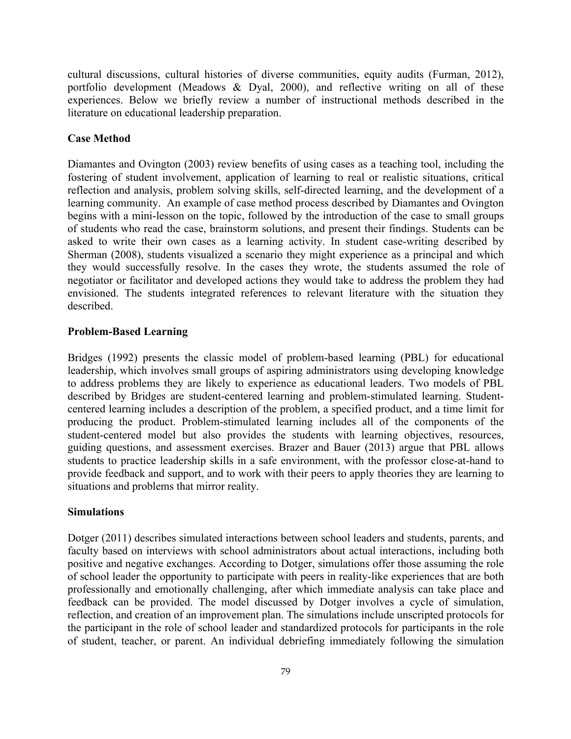cultural discussions, cultural histories of diverse communities, equity audits (Furman, 2012), portfolio development (Meadows & Dyal, 2000), and reflective writing on all of these experiences. Below we briefly review a number of instructional methods described in the literature on educational leadership preparation.

# **Case Method**

Diamantes and Ovington (2003) review benefits of using cases as a teaching tool, including the fostering of student involvement, application of learning to real or realistic situations, critical reflection and analysis, problem solving skills, self-directed learning, and the development of a learning community. An example of case method process described by Diamantes and Ovington begins with a mini-lesson on the topic, followed by the introduction of the case to small groups of students who read the case, brainstorm solutions, and present their findings. Students can be asked to write their own cases as a learning activity. In student case-writing described by Sherman (2008), students visualized a scenario they might experience as a principal and which they would successfully resolve. In the cases they wrote, the students assumed the role of negotiator or facilitator and developed actions they would take to address the problem they had envisioned. The students integrated references to relevant literature with the situation they described.

## **Problem-Based Learning**

Bridges (1992) presents the classic model of problem-based learning (PBL) for educational leadership, which involves small groups of aspiring administrators using developing knowledge to address problems they are likely to experience as educational leaders. Two models of PBL described by Bridges are student-centered learning and problem-stimulated learning. Studentcentered learning includes a description of the problem, a specified product, and a time limit for producing the product. Problem-stimulated learning includes all of the components of the student-centered model but also provides the students with learning objectives, resources, guiding questions, and assessment exercises. Brazer and Bauer (2013) argue that PBL allows students to practice leadership skills in a safe environment, with the professor close-at-hand to provide feedback and support, and to work with their peers to apply theories they are learning to situations and problems that mirror reality.

#### **Simulations**

Dotger (2011) describes simulated interactions between school leaders and students, parents, and faculty based on interviews with school administrators about actual interactions, including both positive and negative exchanges. According to Dotger, simulations offer those assuming the role of school leader the opportunity to participate with peers in reality-like experiences that are both professionally and emotionally challenging, after which immediate analysis can take place and feedback can be provided. The model discussed by Dotger involves a cycle of simulation, reflection, and creation of an improvement plan. The simulations include unscripted protocols for the participant in the role of school leader and standardized protocols for participants in the role of student, teacher, or parent. An individual debriefing immediately following the simulation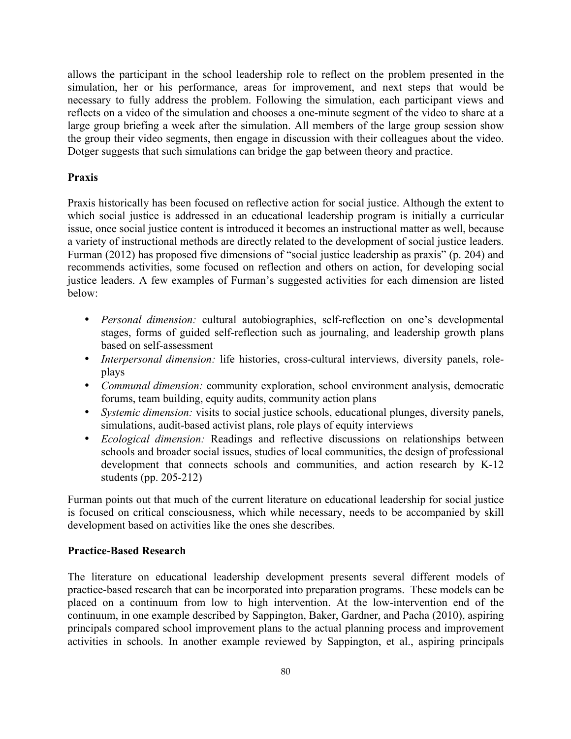allows the participant in the school leadership role to reflect on the problem presented in the simulation, her or his performance, areas for improvement, and next steps that would be necessary to fully address the problem. Following the simulation, each participant views and reflects on a video of the simulation and chooses a one-minute segment of the video to share at a large group briefing a week after the simulation. All members of the large group session show the group their video segments, then engage in discussion with their colleagues about the video. Dotger suggests that such simulations can bridge the gap between theory and practice.

# **Praxis**

Praxis historically has been focused on reflective action for social justice. Although the extent to which social justice is addressed in an educational leadership program is initially a curricular issue, once social justice content is introduced it becomes an instructional matter as well, because a variety of instructional methods are directly related to the development of social justice leaders. Furman (2012) has proposed five dimensions of "social justice leadership as praxis" (p. 204) and recommends activities, some focused on reflection and others on action, for developing social justice leaders. A few examples of Furman's suggested activities for each dimension are listed below:

- *Personal dimension:* cultural autobiographies, self-reflection on one's developmental stages, forms of guided self-reflection such as journaling, and leadership growth plans based on self-assessment
- *Interpersonal dimension:* life histories, cross-cultural interviews, diversity panels, roleplays
- *Communal dimension:* community exploration, school environment analysis, democratic forums, team building, equity audits, community action plans
- *Systemic dimension:* visits to social justice schools, educational plunges, diversity panels, simulations, audit-based activist plans, role plays of equity interviews
- *Ecological dimension:* Readings and reflective discussions on relationships between schools and broader social issues, studies of local communities, the design of professional development that connects schools and communities, and action research by K-12 students (pp. 205-212)

Furman points out that much of the current literature on educational leadership for social justice is focused on critical consciousness, which while necessary, needs to be accompanied by skill development based on activities like the ones she describes.

# **Practice-Based Research**

The literature on educational leadership development presents several different models of practice-based research that can be incorporated into preparation programs. These models can be placed on a continuum from low to high intervention. At the low-intervention end of the continuum, in one example described by Sappington, Baker, Gardner, and Pacha (2010), aspiring principals compared school improvement plans to the actual planning process and improvement activities in schools. In another example reviewed by Sappington, et al., aspiring principals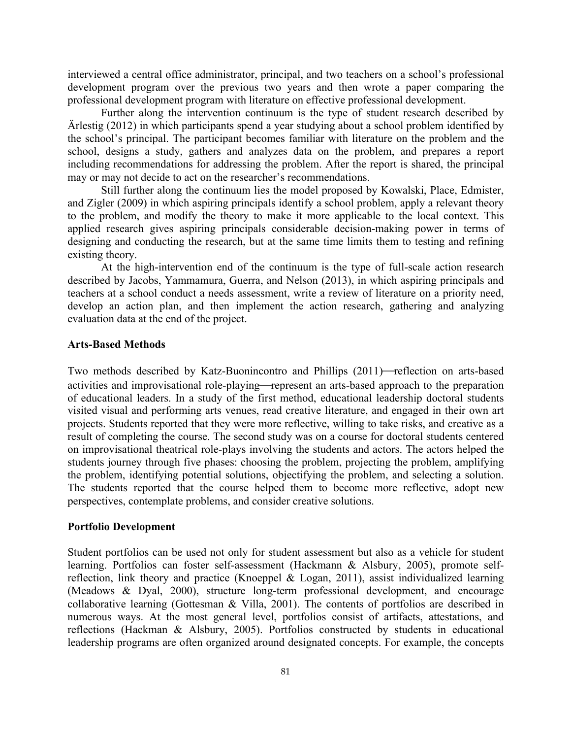interviewed a central office administrator, principal, and two teachers on a school's professional development program over the previous two years and then wrote a paper comparing the professional development program with literature on effective professional development.

Further along the intervention continuum is the type of student research described by Ärlestig (2012) in which participants spend a year studying about a school problem identified by the school's principal. The participant becomes familiar with literature on the problem and the school, designs a study, gathers and analyzes data on the problem, and prepares a report including recommendations for addressing the problem. After the report is shared, the principal may or may not decide to act on the researcher's recommendations.

Still further along the continuum lies the model proposed by Kowalski, Place, Edmister, and Zigler (2009) in which aspiring principals identify a school problem, apply a relevant theory to the problem, and modify the theory to make it more applicable to the local context. This applied research gives aspiring principals considerable decision-making power in terms of designing and conducting the research, but at the same time limits them to testing and refining existing theory.

At the high-intervention end of the continuum is the type of full-scale action research described by Jacobs, Yammamura, Guerra, and Nelson (2013), in which aspiring principals and teachers at a school conduct a needs assessment, write a review of literature on a priority need, develop an action plan, and then implement the action research, gathering and analyzing evaluation data at the end of the project.

## **Arts-Based Methods**

Two methods described by Katz-Buonincontro and Phillips (2011)—reflection on arts-based activities and improvisational role-playing—represent an arts-based approach to the preparation of educational leaders. In a study of the first method, educational leadership doctoral students visited visual and performing arts venues, read creative literature, and engaged in their own art projects. Students reported that they were more reflective, willing to take risks, and creative as a result of completing the course. The second study was on a course for doctoral students centered on improvisational theatrical role-plays involving the students and actors. The actors helped the students journey through five phases: choosing the problem, projecting the problem, amplifying the problem, identifying potential solutions, objectifying the problem, and selecting a solution. The students reported that the course helped them to become more reflective, adopt new perspectives, contemplate problems, and consider creative solutions.

#### **Portfolio Development**

Student portfolios can be used not only for student assessment but also as a vehicle for student learning. Portfolios can foster self-assessment (Hackmann & Alsbury, 2005), promote selfreflection, link theory and practice (Knoeppel  $\&$  Logan, 2011), assist individualized learning (Meadows & Dyal, 2000), structure long-term professional development, and encourage collaborative learning (Gottesman & Villa, 2001). The contents of portfolios are described in numerous ways. At the most general level, portfolios consist of artifacts, attestations, and reflections (Hackman & Alsbury, 2005). Portfolios constructed by students in educational leadership programs are often organized around designated concepts. For example, the concepts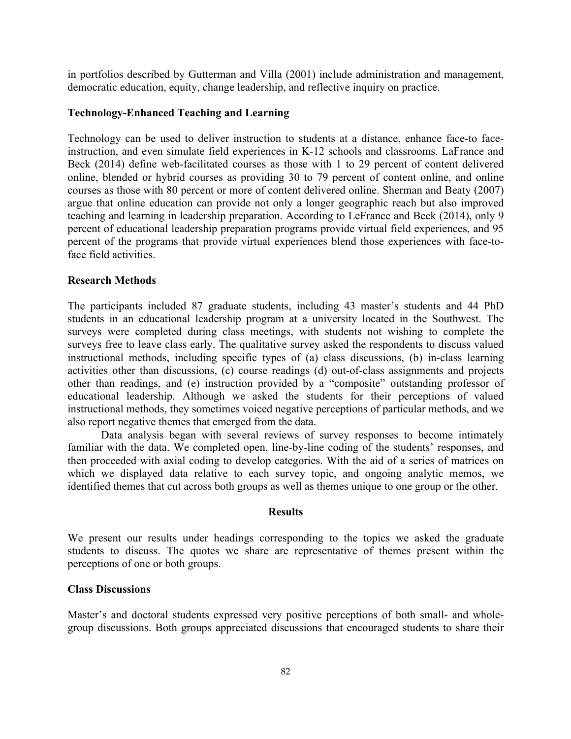in portfolios described by Gutterman and Villa (2001) include administration and management, democratic education, equity, change leadership, and reflective inquiry on practice.

# **Technology-Enhanced Teaching and Learning**

Technology can be used to deliver instruction to students at a distance, enhance face-to faceinstruction, and even simulate field experiences in K-12 schools and classrooms. LaFrance and Beck (2014) define web-facilitated courses as those with 1 to 29 percent of content delivered online, blended or hybrid courses as providing 30 to 79 percent of content online, and online courses as those with 80 percent or more of content delivered online. Sherman and Beaty (2007) argue that online education can provide not only a longer geographic reach but also improved teaching and learning in leadership preparation. According to LeFrance and Beck (2014), only 9 percent of educational leadership preparation programs provide virtual field experiences, and 95 percent of the programs that provide virtual experiences blend those experiences with face-toface field activities.

#### **Research Methods**

The participants included 87 graduate students, including 43 master's students and 44 PhD students in an educational leadership program at a university located in the Southwest. The surveys were completed during class meetings, with students not wishing to complete the surveys free to leave class early. The qualitative survey asked the respondents to discuss valued instructional methods, including specific types of (a) class discussions, (b) in-class learning activities other than discussions, (c) course readings (d) out-of-class assignments and projects other than readings, and (e) instruction provided by a "composite" outstanding professor of educational leadership. Although we asked the students for their perceptions of valued instructional methods, they sometimes voiced negative perceptions of particular methods, and we also report negative themes that emerged from the data.

Data analysis began with several reviews of survey responses to become intimately familiar with the data. We completed open, line-by-line coding of the students' responses, and then proceeded with axial coding to develop categories. With the aid of a series of matrices on which we displayed data relative to each survey topic, and ongoing analytic memos, we identified themes that cut across both groups as well as themes unique to one group or the other.

#### **Results**

We present our results under headings corresponding to the topics we asked the graduate students to discuss. The quotes we share are representative of themes present within the perceptions of one or both groups.

# **Class Discussions**

Master's and doctoral students expressed very positive perceptions of both small- and wholegroup discussions. Both groups appreciated discussions that encouraged students to share their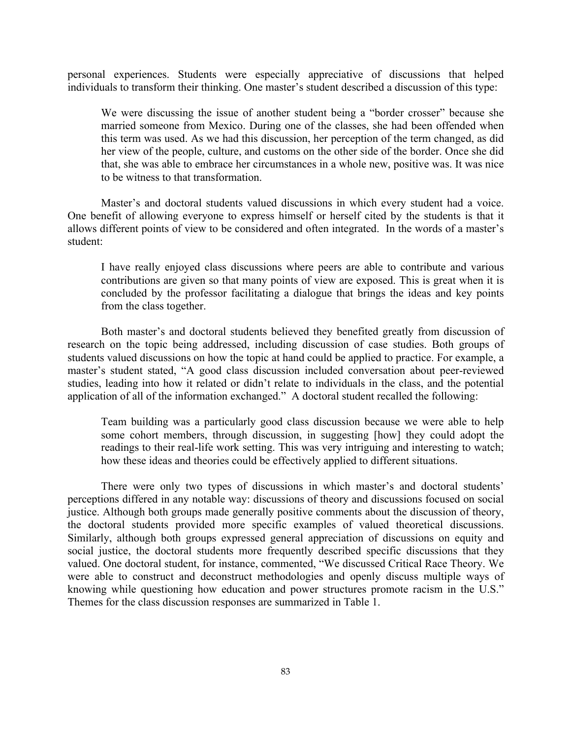personal experiences. Students were especially appreciative of discussions that helped individuals to transform their thinking. One master's student described a discussion of this type:

We were discussing the issue of another student being a "border crosser" because she married someone from Mexico. During one of the classes, she had been offended when this term was used. As we had this discussion, her perception of the term changed, as did her view of the people, culture, and customs on the other side of the border. Once she did that, she was able to embrace her circumstances in a whole new, positive was. It was nice to be witness to that transformation.

Master's and doctoral students valued discussions in which every student had a voice. One benefit of allowing everyone to express himself or herself cited by the students is that it allows different points of view to be considered and often integrated. In the words of a master's student:

I have really enjoyed class discussions where peers are able to contribute and various contributions are given so that many points of view are exposed. This is great when it is concluded by the professor facilitating a dialogue that brings the ideas and key points from the class together.

Both master's and doctoral students believed they benefited greatly from discussion of research on the topic being addressed, including discussion of case studies. Both groups of students valued discussions on how the topic at hand could be applied to practice. For example, a master's student stated, "A good class discussion included conversation about peer-reviewed studies, leading into how it related or didn't relate to individuals in the class, and the potential application of all of the information exchanged." A doctoral student recalled the following:

Team building was a particularly good class discussion because we were able to help some cohort members, through discussion, in suggesting [how] they could adopt the readings to their real-life work setting. This was very intriguing and interesting to watch; how these ideas and theories could be effectively applied to different situations.

There were only two types of discussions in which master's and doctoral students' perceptions differed in any notable way: discussions of theory and discussions focused on social justice. Although both groups made generally positive comments about the discussion of theory, the doctoral students provided more specific examples of valued theoretical discussions. Similarly, although both groups expressed general appreciation of discussions on equity and social justice, the doctoral students more frequently described specific discussions that they valued. One doctoral student, for instance, commented, "We discussed Critical Race Theory. We were able to construct and deconstruct methodologies and openly discuss multiple ways of knowing while questioning how education and power structures promote racism in the U.S." Themes for the class discussion responses are summarized in Table 1.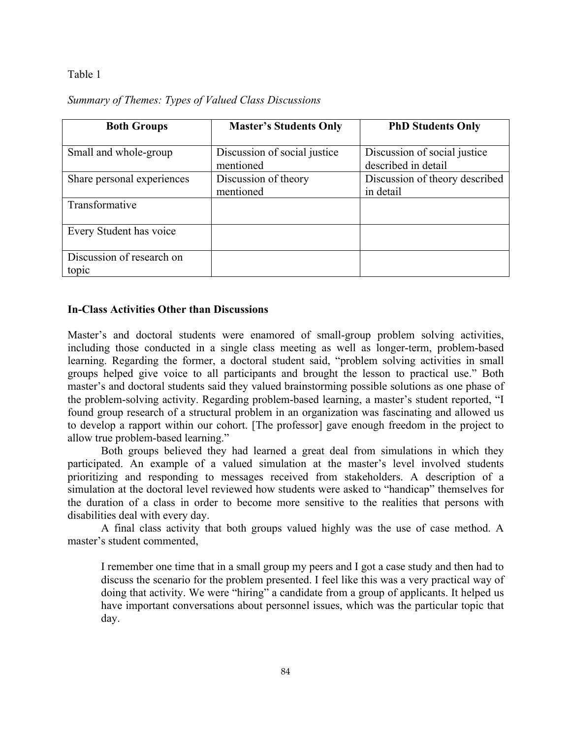# Table 1

| <b>Both Groups</b>                 | <b>Master's Students Only</b>             | <b>PhD Students Only</b>                            |
|------------------------------------|-------------------------------------------|-----------------------------------------------------|
| Small and whole-group              | Discussion of social justice<br>mentioned | Discussion of social justice<br>described in detail |
| Share personal experiences         | Discussion of theory<br>mentioned         | Discussion of theory described<br>in detail         |
| Transformative                     |                                           |                                                     |
| Every Student has voice            |                                           |                                                     |
| Discussion of research on<br>topic |                                           |                                                     |

# *Summary of Themes: Types of Valued Class Discussions*

# **In-Class Activities Other than Discussions**

Master's and doctoral students were enamored of small-group problem solving activities, including those conducted in a single class meeting as well as longer-term, problem-based learning. Regarding the former, a doctoral student said, "problem solving activities in small groups helped give voice to all participants and brought the lesson to practical use." Both master's and doctoral students said they valued brainstorming possible solutions as one phase of the problem-solving activity. Regarding problem-based learning, a master's student reported, "I found group research of a structural problem in an organization was fascinating and allowed us to develop a rapport within our cohort. [The professor] gave enough freedom in the project to allow true problem-based learning."

Both groups believed they had learned a great deal from simulations in which they participated. An example of a valued simulation at the master's level involved students prioritizing and responding to messages received from stakeholders. A description of a simulation at the doctoral level reviewed how students were asked to "handicap" themselves for the duration of a class in order to become more sensitive to the realities that persons with disabilities deal with every day.

A final class activity that both groups valued highly was the use of case method. A master's student commented,

I remember one time that in a small group my peers and I got a case study and then had to discuss the scenario for the problem presented. I feel like this was a very practical way of doing that activity. We were "hiring" a candidate from a group of applicants. It helped us have important conversations about personnel issues, which was the particular topic that day.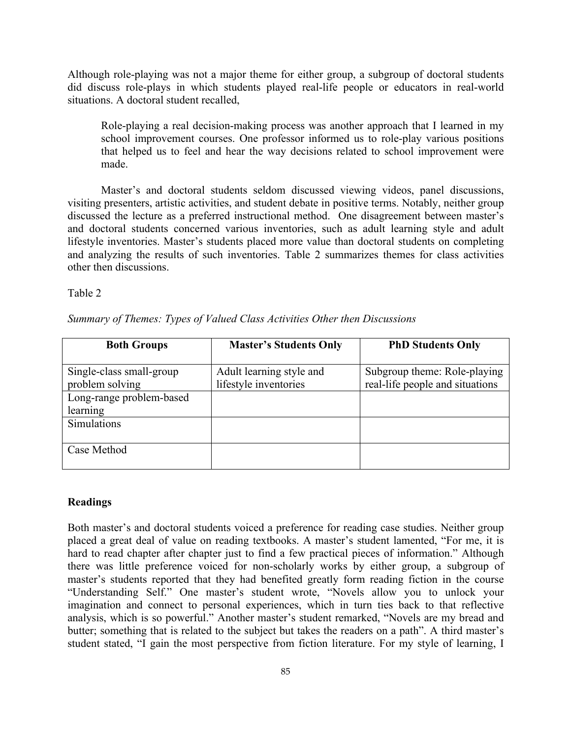Although role-playing was not a major theme for either group, a subgroup of doctoral students did discuss role-plays in which students played real-life people or educators in real-world situations. A doctoral student recalled,

Role-playing a real decision-making process was another approach that I learned in my school improvement courses. One professor informed us to role-play various positions that helped us to feel and hear the way decisions related to school improvement were made.

Master's and doctoral students seldom discussed viewing videos, panel discussions, visiting presenters, artistic activities, and student debate in positive terms. Notably, neither group discussed the lecture as a preferred instructional method. One disagreement between master's and doctoral students concerned various inventories, such as adult learning style and adult lifestyle inventories. Master's students placed more value than doctoral students on completing and analyzing the results of such inventories. Table 2 summarizes themes for class activities other then discussions.

Table 2

| <b>Both Groups</b>       | <b>Master's Students Only</b> | <b>PhD Students Only</b>        |
|--------------------------|-------------------------------|---------------------------------|
| Single-class small-group | Adult learning style and      | Subgroup theme: Role-playing    |
| problem solving          | lifestyle inventories         | real-life people and situations |
| Long-range problem-based |                               |                                 |
| learning                 |                               |                                 |
| <b>Simulations</b>       |                               |                                 |
|                          |                               |                                 |
| Case Method              |                               |                                 |

# **Readings**

Both master's and doctoral students voiced a preference for reading case studies. Neither group placed a great deal of value on reading textbooks. A master's student lamented, "For me, it is hard to read chapter after chapter just to find a few practical pieces of information." Although there was little preference voiced for non-scholarly works by either group, a subgroup of master's students reported that they had benefited greatly form reading fiction in the course "Understanding Self." One master's student wrote, "Novels allow you to unlock your imagination and connect to personal experiences, which in turn ties back to that reflective analysis, which is so powerful." Another master's student remarked, "Novels are my bread and butter; something that is related to the subject but takes the readers on a path". A third master's student stated, "I gain the most perspective from fiction literature. For my style of learning, I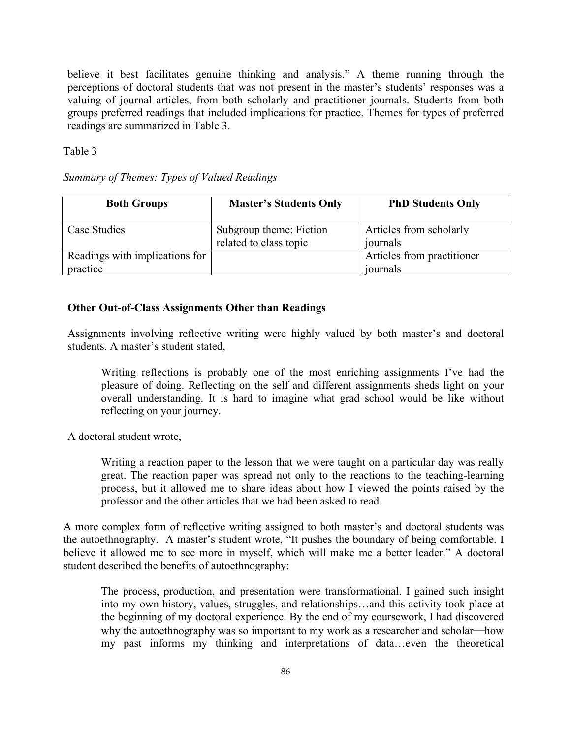believe it best facilitates genuine thinking and analysis." A theme running through the perceptions of doctoral students that was not present in the master's students' responses was a valuing of journal articles, from both scholarly and practitioner journals. Students from both groups preferred readings that included implications for practice. Themes for types of preferred readings are summarized in Table 3.

Table 3

*Summary of Themes: Types of Valued Readings*

| <b>Both Groups</b>                         | <b>Master's Students Only</b>                     | <b>PhD Students Only</b>               |
|--------------------------------------------|---------------------------------------------------|----------------------------------------|
| Case Studies                               | Subgroup theme: Fiction<br>related to class topic | Articles from scholarly<br>journals    |
| Readings with implications for<br>practice |                                                   | Articles from practitioner<br>journals |

# **Other Out-of-Class Assignments Other than Readings**

Assignments involving reflective writing were highly valued by both master's and doctoral students. A master's student stated,

Writing reflections is probably one of the most enriching assignments I've had the pleasure of doing. Reflecting on the self and different assignments sheds light on your overall understanding. It is hard to imagine what grad school would be like without reflecting on your journey.

A doctoral student wrote,

Writing a reaction paper to the lesson that we were taught on a particular day was really great. The reaction paper was spread not only to the reactions to the teaching-learning process, but it allowed me to share ideas about how I viewed the points raised by the professor and the other articles that we had been asked to read.

A more complex form of reflective writing assigned to both master's and doctoral students was the autoethnography. A master's student wrote, "It pushes the boundary of being comfortable. I believe it allowed me to see more in myself, which will make me a better leader." A doctoral student described the benefits of autoethnography:

The process, production, and presentation were transformational. I gained such insight into my own history, values, struggles, and relationships…and this activity took place at the beginning of my doctoral experience. By the end of my coursework, I had discovered why the autoethnography was so important to my work as a researcher and scholar—how my past informs my thinking and interpretations of data…even the theoretical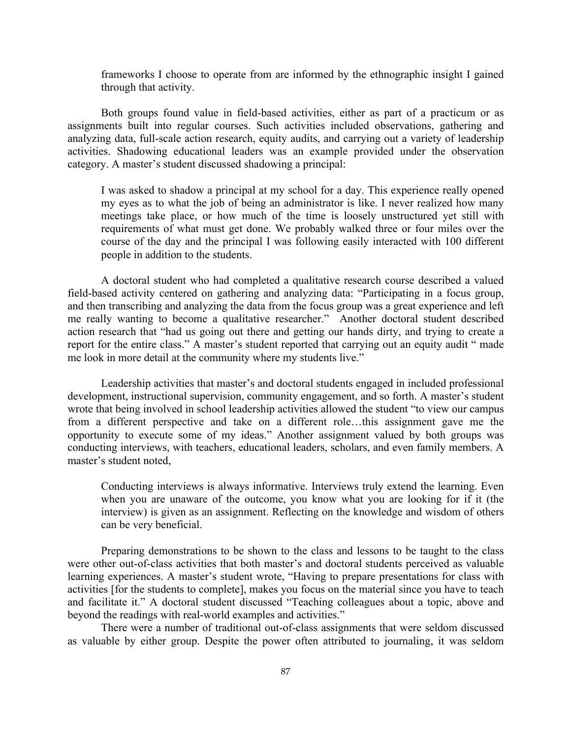frameworks I choose to operate from are informed by the ethnographic insight I gained through that activity.

Both groups found value in field-based activities, either as part of a practicum or as assignments built into regular courses. Such activities included observations, gathering and analyzing data, full-scale action research, equity audits, and carrying out a variety of leadership activities. Shadowing educational leaders was an example provided under the observation category. A master's student discussed shadowing a principal:

I was asked to shadow a principal at my school for a day. This experience really opened my eyes as to what the job of being an administrator is like. I never realized how many meetings take place, or how much of the time is loosely unstructured yet still with requirements of what must get done. We probably walked three or four miles over the course of the day and the principal I was following easily interacted with 100 different people in addition to the students.

A doctoral student who had completed a qualitative research course described a valued field-based activity centered on gathering and analyzing data: "Participating in a focus group, and then transcribing and analyzing the data from the focus group was a great experience and left me really wanting to become a qualitative researcher." Another doctoral student described action research that "had us going out there and getting our hands dirty, and trying to create a report for the entire class." A master's student reported that carrying out an equity audit " made me look in more detail at the community where my students live."

Leadership activities that master's and doctoral students engaged in included professional development, instructional supervision, community engagement, and so forth. A master's student wrote that being involved in school leadership activities allowed the student "to view our campus from a different perspective and take on a different role…this assignment gave me the opportunity to execute some of my ideas." Another assignment valued by both groups was conducting interviews, with teachers, educational leaders, scholars, and even family members. A master's student noted,

Conducting interviews is always informative. Interviews truly extend the learning. Even when you are unaware of the outcome, you know what you are looking for if it (the interview) is given as an assignment. Reflecting on the knowledge and wisdom of others can be very beneficial.

Preparing demonstrations to be shown to the class and lessons to be taught to the class were other out-of-class activities that both master's and doctoral students perceived as valuable learning experiences. A master's student wrote, "Having to prepare presentations for class with activities [for the students to complete], makes you focus on the material since you have to teach and facilitate it." A doctoral student discussed "Teaching colleagues about a topic, above and beyond the readings with real-world examples and activities."

There were a number of traditional out-of-class assignments that were seldom discussed as valuable by either group. Despite the power often attributed to journaling, it was seldom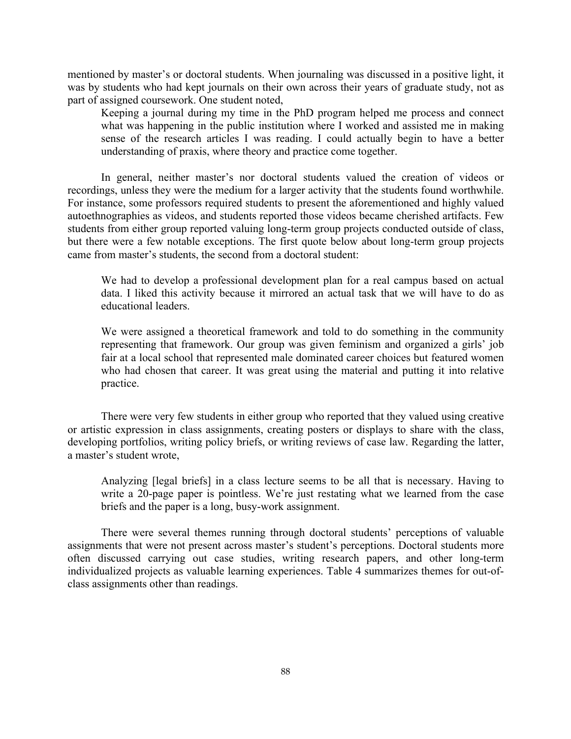mentioned by master's or doctoral students. When journaling was discussed in a positive light, it was by students who had kept journals on their own across their years of graduate study, not as part of assigned coursework. One student noted,

Keeping a journal during my time in the PhD program helped me process and connect what was happening in the public institution where I worked and assisted me in making sense of the research articles I was reading. I could actually begin to have a better understanding of praxis, where theory and practice come together.

In general, neither master's nor doctoral students valued the creation of videos or recordings, unless they were the medium for a larger activity that the students found worthwhile. For instance, some professors required students to present the aforementioned and highly valued autoethnographies as videos, and students reported those videos became cherished artifacts. Few students from either group reported valuing long-term group projects conducted outside of class, but there were a few notable exceptions. The first quote below about long-term group projects came from master's students, the second from a doctoral student:

We had to develop a professional development plan for a real campus based on actual data. I liked this activity because it mirrored an actual task that we will have to do as educational leaders.

We were assigned a theoretical framework and told to do something in the community representing that framework. Our group was given feminism and organized a girls' job fair at a local school that represented male dominated career choices but featured women who had chosen that career. It was great using the material and putting it into relative practice.

There were very few students in either group who reported that they valued using creative or artistic expression in class assignments, creating posters or displays to share with the class, developing portfolios, writing policy briefs, or writing reviews of case law. Regarding the latter, a master's student wrote,

Analyzing [legal briefs] in a class lecture seems to be all that is necessary. Having to write a 20-page paper is pointless. We're just restating what we learned from the case briefs and the paper is a long, busy-work assignment.

There were several themes running through doctoral students' perceptions of valuable assignments that were not present across master's student's perceptions. Doctoral students more often discussed carrying out case studies, writing research papers, and other long-term individualized projects as valuable learning experiences. Table 4 summarizes themes for out-ofclass assignments other than readings.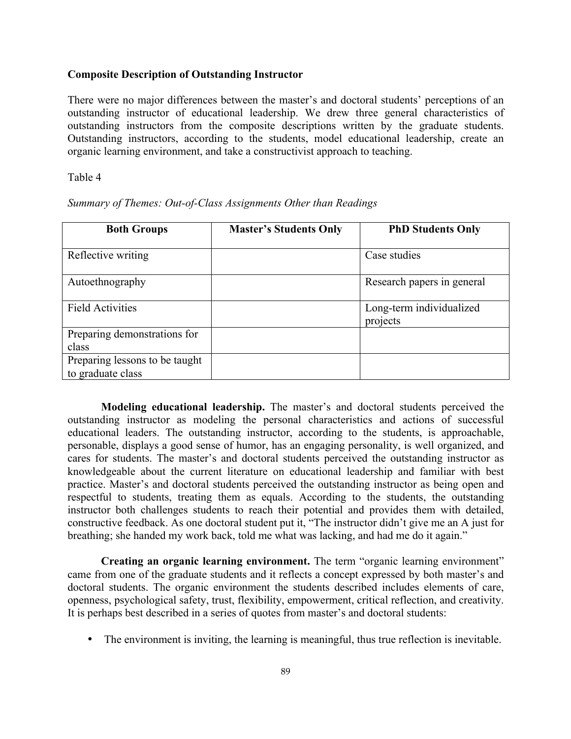# **Composite Description of Outstanding Instructor**

There were no major differences between the master's and doctoral students' perceptions of an outstanding instructor of educational leadership. We drew three general characteristics of outstanding instructors from the composite descriptions written by the graduate students. Outstanding instructors, according to the students, model educational leadership, create an organic learning environment, and take a constructivist approach to teaching.

Table 4

| <b>Both Groups</b>                                  | <b>Master's Students Only</b> | <b>PhD Students Only</b>             |
|-----------------------------------------------------|-------------------------------|--------------------------------------|
| Reflective writing                                  |                               | Case studies                         |
| Autoethnography                                     |                               | Research papers in general           |
| <b>Field Activities</b>                             |                               | Long-term individualized<br>projects |
| Preparing demonstrations for<br>class               |                               |                                      |
| Preparing lessons to be taught<br>to graduate class |                               |                                      |

*Summary of Themes: Out-of-Class Assignments Other than Readings*

**Modeling educational leadership.** The master's and doctoral students perceived the outstanding instructor as modeling the personal characteristics and actions of successful educational leaders. The outstanding instructor, according to the students, is approachable, personable, displays a good sense of humor, has an engaging personality, is well organized, and cares for students. The master's and doctoral students perceived the outstanding instructor as knowledgeable about the current literature on educational leadership and familiar with best practice. Master's and doctoral students perceived the outstanding instructor as being open and respectful to students, treating them as equals. According to the students, the outstanding instructor both challenges students to reach their potential and provides them with detailed, constructive feedback. As one doctoral student put it, "The instructor didn't give me an A just for breathing; she handed my work back, told me what was lacking, and had me do it again."

**Creating an organic learning environment.** The term "organic learning environment" came from one of the graduate students and it reflects a concept expressed by both master's and doctoral students. The organic environment the students described includes elements of care, openness, psychological safety, trust, flexibility, empowerment, critical reflection, and creativity. It is perhaps best described in a series of quotes from master's and doctoral students:

• The environment is inviting, the learning is meaningful, thus true reflection is inevitable.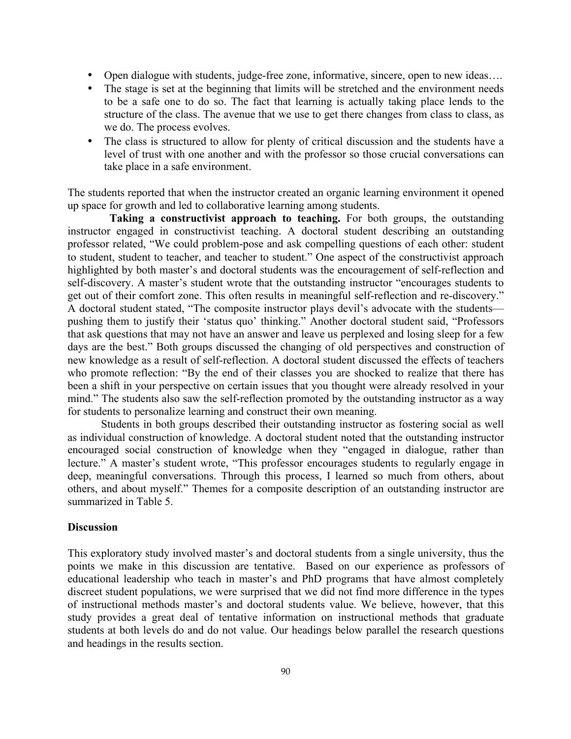- Open dialogue with students, judge-free zone, informative, sincere, open to new ideas....
- The stage is set at the beginning that limits will be stretched and the environment needs to be a safe one to do so. The fact that learning is actually taking place lends to the structure of the class. The avenue that we use to get there changes from class to class, as we do. The process evolves.
- The class is structured to allow for plenty of critical discussion and the students have a level of trust with one another and with the professor so those crucial conversations can take place in a safe environment.

The students reported that when the instructor created an organic learning environment it opened up space for growth and led to collaborative learning among students.

**Taking a constructivist approach to teaching.** For both groups, the outstanding instructor engaged in constructivist teaching. A doctoral student describing an outstanding professor related, "We could problem-pose and ask compelling questions of each other: student to student, student to teacher, and teacher to student." One aspect of the constructivist approach highlighted by both master's and doctoral students was the encouragement of self-reflection and self-discovery. A master's student wrote that the outstanding instructor "encourages students to get out of their comfort zone. This often results in meaningful self-reflection and re-discovery." A doctoral student stated, "The composite instructor plays devil's advocate with the students pushing them to justify their 'status quo' thinking." Another doctoral student said, "Professors that ask questions that may not have an answer and leave us perplexed and losing sleep for a few days are the best." Both groups discussed the changing of old perspectives and construction of new knowledge as a result of self-reflection. A doctoral student discussed the effects of teachers who promote reflection: "By the end of their classes you are shocked to realize that there has been a shift in your perspective on certain issues that you thought were already resolved in your mind." The students also saw the self-reflection promoted by the outstanding instructor as a way for students to personalize learning and construct their own meaning.

Students in both groups described their outstanding instructor as fostering social as well as individual construction of knowledge. A doctoral student noted that the outstanding instructor encouraged social construction of knowledge when they "engaged in dialogue, rather than lecture." A master's student wrote, "This professor encourages students to regularly engage in deep, meaningful conversations. Through this process, I learned so much from others, about others, and about myself." Themes for a composite description of an outstanding instructor are summarized in Table 5.

#### **Discussion**

This exploratory study involved master's and doctoral students from a single university, thus the points we make in this discussion are tentative. Based on our experience as professors of educational leadership who teach in master's and PhD programs that have almost completely discreet student populations, we were surprised that we did not find more difference in the types of instructional methods master's and doctoral students value. We believe, however, that this study provides a great deal of tentative information on instructional methods that graduate students at both levels do and do not value. Our headings below parallel the research questions and headings in the results section.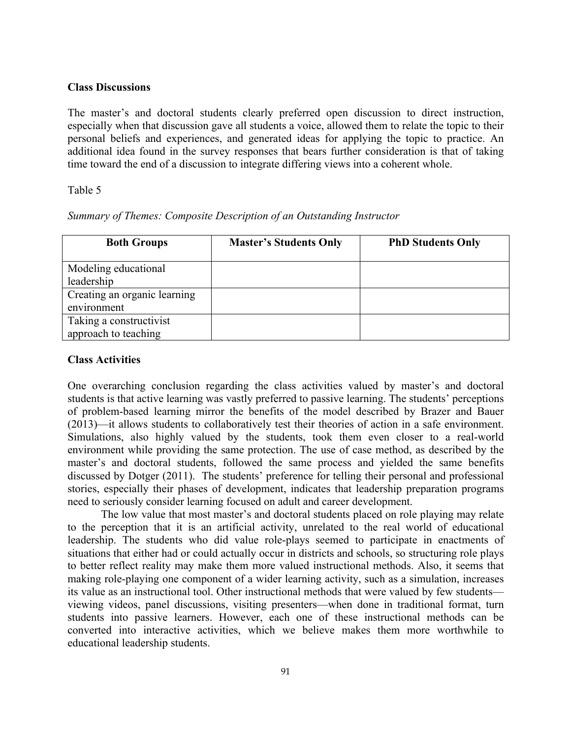# **Class Discussions**

The master's and doctoral students clearly preferred open discussion to direct instruction, especially when that discussion gave all students a voice, allowed them to relate the topic to their personal beliefs and experiences, and generated ideas for applying the topic to practice. An additional idea found in the survey responses that bears further consideration is that of taking time toward the end of a discussion to integrate differing views into a coherent whole.

# Table 5

|  |  | Summary of Themes: Composite Description of an Outstanding Instructor |
|--|--|-----------------------------------------------------------------------|
|  |  |                                                                       |

| <b>Both Groups</b>           | <b>Master's Students Only</b> | <b>PhD Students Only</b> |
|------------------------------|-------------------------------|--------------------------|
| Modeling educational         |                               |                          |
| leadership                   |                               |                          |
| Creating an organic learning |                               |                          |
| environment                  |                               |                          |
| Taking a constructivist      |                               |                          |
| approach to teaching         |                               |                          |

# **Class Activities**

One overarching conclusion regarding the class activities valued by master's and doctoral students is that active learning was vastly preferred to passive learning. The students' perceptions of problem-based learning mirror the benefits of the model described by Brazer and Bauer (2013)—it allows students to collaboratively test their theories of action in a safe environment. Simulations, also highly valued by the students, took them even closer to a real-world environment while providing the same protection. The use of case method, as described by the master's and doctoral students, followed the same process and yielded the same benefits discussed by Dotger (2011). The students' preference for telling their personal and professional stories, especially their phases of development, indicates that leadership preparation programs need to seriously consider learning focused on adult and career development.

The low value that most master's and doctoral students placed on role playing may relate to the perception that it is an artificial activity, unrelated to the real world of educational leadership. The students who did value role-plays seemed to participate in enactments of situations that either had or could actually occur in districts and schools, so structuring role plays to better reflect reality may make them more valued instructional methods. Also, it seems that making role-playing one component of a wider learning activity, such as a simulation, increases its value as an instructional tool. Other instructional methods that were valued by few students viewing videos, panel discussions, visiting presenters—when done in traditional format, turn students into passive learners. However, each one of these instructional methods can be converted into interactive activities, which we believe makes them more worthwhile to educational leadership students.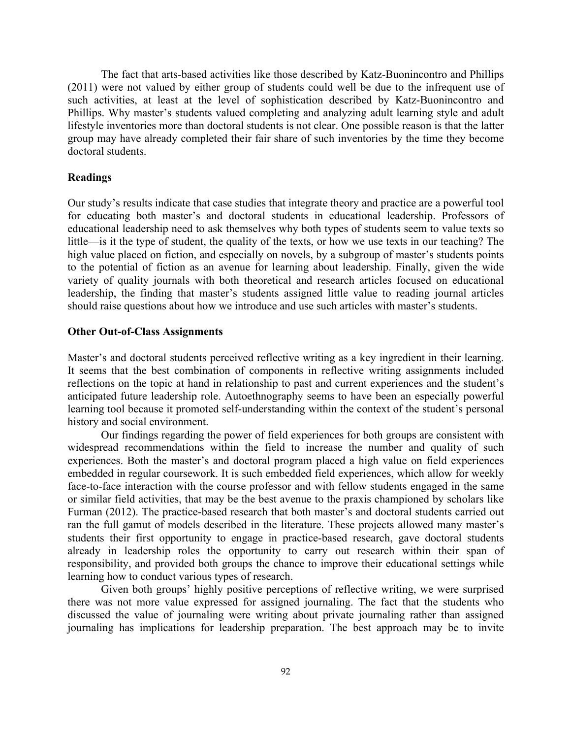The fact that arts-based activities like those described by Katz-Buonincontro and Phillips (2011) were not valued by either group of students could well be due to the infrequent use of such activities, at least at the level of sophistication described by Katz-Buonincontro and Phillips. Why master's students valued completing and analyzing adult learning style and adult lifestyle inventories more than doctoral students is not clear. One possible reason is that the latter group may have already completed their fair share of such inventories by the time they become doctoral students.

#### **Readings**

Our study's results indicate that case studies that integrate theory and practice are a powerful tool for educating both master's and doctoral students in educational leadership. Professors of educational leadership need to ask themselves why both types of students seem to value texts so little—is it the type of student, the quality of the texts, or how we use texts in our teaching? The high value placed on fiction, and especially on novels, by a subgroup of master's students points to the potential of fiction as an avenue for learning about leadership. Finally, given the wide variety of quality journals with both theoretical and research articles focused on educational leadership, the finding that master's students assigned little value to reading journal articles should raise questions about how we introduce and use such articles with master's students.

## **Other Out-of-Class Assignments**

Master's and doctoral students perceived reflective writing as a key ingredient in their learning. It seems that the best combination of components in reflective writing assignments included reflections on the topic at hand in relationship to past and current experiences and the student's anticipated future leadership role. Autoethnography seems to have been an especially powerful learning tool because it promoted self-understanding within the context of the student's personal history and social environment.

Our findings regarding the power of field experiences for both groups are consistent with widespread recommendations within the field to increase the number and quality of such experiences. Both the master's and doctoral program placed a high value on field experiences embedded in regular coursework. It is such embedded field experiences, which allow for weekly face-to-face interaction with the course professor and with fellow students engaged in the same or similar field activities, that may be the best avenue to the praxis championed by scholars like Furman (2012). The practice-based research that both master's and doctoral students carried out ran the full gamut of models described in the literature. These projects allowed many master's students their first opportunity to engage in practice-based research, gave doctoral students already in leadership roles the opportunity to carry out research within their span of responsibility, and provided both groups the chance to improve their educational settings while learning how to conduct various types of research.

Given both groups' highly positive perceptions of reflective writing, we were surprised there was not more value expressed for assigned journaling. The fact that the students who discussed the value of journaling were writing about private journaling rather than assigned journaling has implications for leadership preparation. The best approach may be to invite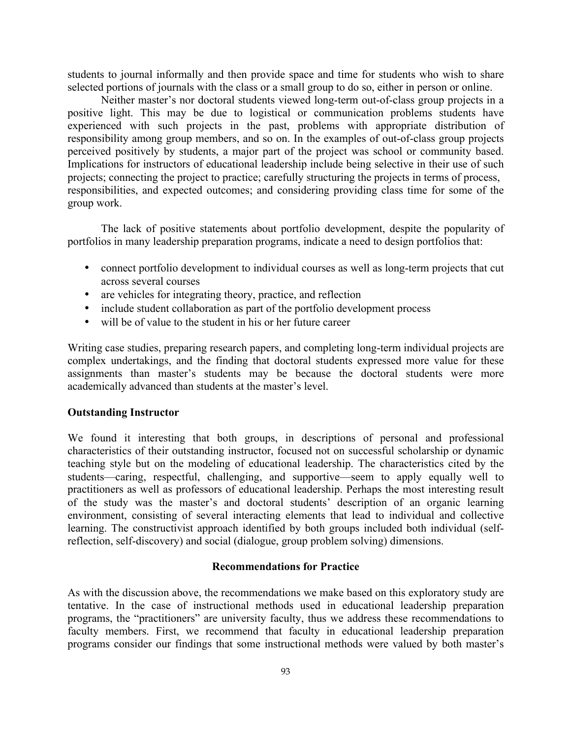students to journal informally and then provide space and time for students who wish to share selected portions of journals with the class or a small group to do so, either in person or online.

Neither master's nor doctoral students viewed long-term out-of-class group projects in a positive light. This may be due to logistical or communication problems students have experienced with such projects in the past, problems with appropriate distribution of responsibility among group members, and so on. In the examples of out-of-class group projects perceived positively by students, a major part of the project was school or community based. Implications for instructors of educational leadership include being selective in their use of such projects; connecting the project to practice; carefully structuring the projects in terms of process, responsibilities, and expected outcomes; and considering providing class time for some of the group work.

The lack of positive statements about portfolio development, despite the popularity of portfolios in many leadership preparation programs, indicate a need to design portfolios that:

- connect portfolio development to individual courses as well as long-term projects that cut across several courses
- are vehicles for integrating theory, practice, and reflection
- include student collaboration as part of the portfolio development process
- will be of value to the student in his or her future career

Writing case studies, preparing research papers, and completing long-term individual projects are complex undertakings, and the finding that doctoral students expressed more value for these assignments than master's students may be because the doctoral students were more academically advanced than students at the master's level.

# **Outstanding Instructor**

We found it interesting that both groups, in descriptions of personal and professional characteristics of their outstanding instructor, focused not on successful scholarship or dynamic teaching style but on the modeling of educational leadership. The characteristics cited by the students—caring, respectful, challenging, and supportive—seem to apply equally well to practitioners as well as professors of educational leadership. Perhaps the most interesting result of the study was the master's and doctoral students' description of an organic learning environment, consisting of several interacting elements that lead to individual and collective learning. The constructivist approach identified by both groups included both individual (selfreflection, self-discovery) and social (dialogue, group problem solving) dimensions.

# **Recommendations for Practice**

As with the discussion above, the recommendations we make based on this exploratory study are tentative. In the case of instructional methods used in educational leadership preparation programs, the "practitioners" are university faculty, thus we address these recommendations to faculty members. First, we recommend that faculty in educational leadership preparation programs consider our findings that some instructional methods were valued by both master's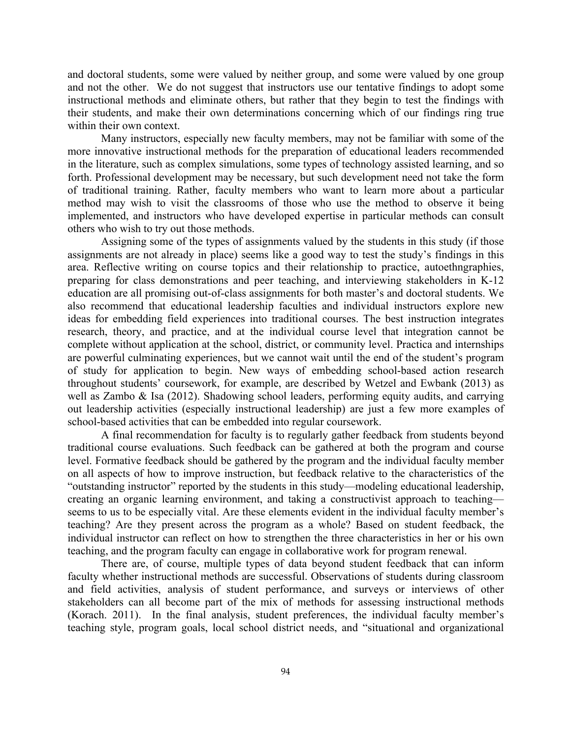and doctoral students, some were valued by neither group, and some were valued by one group and not the other. We do not suggest that instructors use our tentative findings to adopt some instructional methods and eliminate others, but rather that they begin to test the findings with their students, and make their own determinations concerning which of our findings ring true within their own context.

Many instructors, especially new faculty members, may not be familiar with some of the more innovative instructional methods for the preparation of educational leaders recommended in the literature, such as complex simulations, some types of technology assisted learning, and so forth. Professional development may be necessary, but such development need not take the form of traditional training. Rather, faculty members who want to learn more about a particular method may wish to visit the classrooms of those who use the method to observe it being implemented, and instructors who have developed expertise in particular methods can consult others who wish to try out those methods.

Assigning some of the types of assignments valued by the students in this study (if those assignments are not already in place) seems like a good way to test the study's findings in this area. Reflective writing on course topics and their relationship to practice, autoethngraphies, preparing for class demonstrations and peer teaching, and interviewing stakeholders in K-12 education are all promising out-of-class assignments for both master's and doctoral students. We also recommend that educational leadership faculties and individual instructors explore new ideas for embedding field experiences into traditional courses. The best instruction integrates research, theory, and practice, and at the individual course level that integration cannot be complete without application at the school, district, or community level. Practica and internships are powerful culminating experiences, but we cannot wait until the end of the student's program of study for application to begin. New ways of embedding school-based action research throughout students' coursework, for example, are described by Wetzel and Ewbank (2013) as well as Zambo & Isa (2012). Shadowing school leaders, performing equity audits, and carrying out leadership activities (especially instructional leadership) are just a few more examples of school-based activities that can be embedded into regular coursework.

A final recommendation for faculty is to regularly gather feedback from students beyond traditional course evaluations. Such feedback can be gathered at both the program and course level. Formative feedback should be gathered by the program and the individual faculty member on all aspects of how to improve instruction, but feedback relative to the characteristics of the "outstanding instructor" reported by the students in this study—modeling educational leadership, creating an organic learning environment, and taking a constructivist approach to teaching seems to us to be especially vital. Are these elements evident in the individual faculty member's teaching? Are they present across the program as a whole? Based on student feedback, the individual instructor can reflect on how to strengthen the three characteristics in her or his own teaching, and the program faculty can engage in collaborative work for program renewal.

There are, of course, multiple types of data beyond student feedback that can inform faculty whether instructional methods are successful. Observations of students during classroom and field activities, analysis of student performance, and surveys or interviews of other stakeholders can all become part of the mix of methods for assessing instructional methods (Korach. 2011). In the final analysis, student preferences, the individual faculty member's teaching style, program goals, local school district needs, and "situational and organizational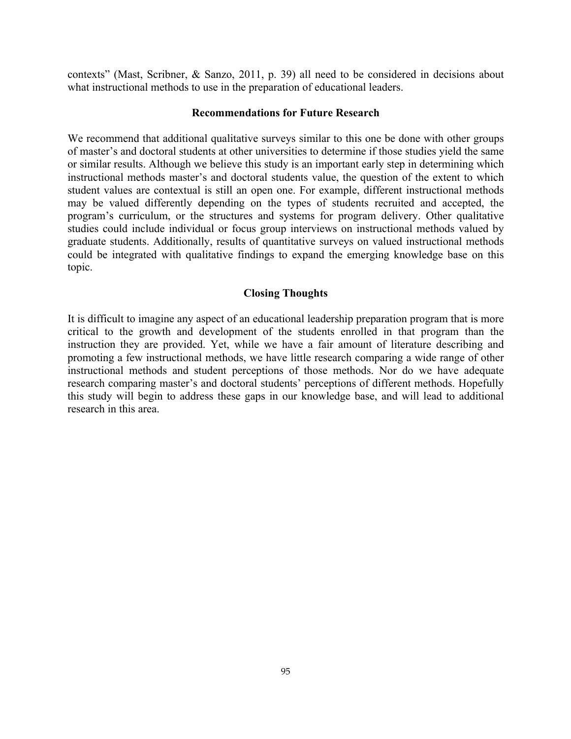contexts" (Mast, Scribner, & Sanzo, 2011, p. 39) all need to be considered in decisions about what instructional methods to use in the preparation of educational leaders.

# **Recommendations for Future Research**

We recommend that additional qualitative surveys similar to this one be done with other groups of master's and doctoral students at other universities to determine if those studies yield the same or similar results. Although we believe this study is an important early step in determining which instructional methods master's and doctoral students value, the question of the extent to which student values are contextual is still an open one. For example, different instructional methods may be valued differently depending on the types of students recruited and accepted, the program's curriculum, or the structures and systems for program delivery. Other qualitative studies could include individual or focus group interviews on instructional methods valued by graduate students. Additionally, results of quantitative surveys on valued instructional methods could be integrated with qualitative findings to expand the emerging knowledge base on this topic.

# **Closing Thoughts**

It is difficult to imagine any aspect of an educational leadership preparation program that is more critical to the growth and development of the students enrolled in that program than the instruction they are provided. Yet, while we have a fair amount of literature describing and promoting a few instructional methods, we have little research comparing a wide range of other instructional methods and student perceptions of those methods. Nor do we have adequate research comparing master's and doctoral students' perceptions of different methods. Hopefully this study will begin to address these gaps in our knowledge base, and will lead to additional research in this area.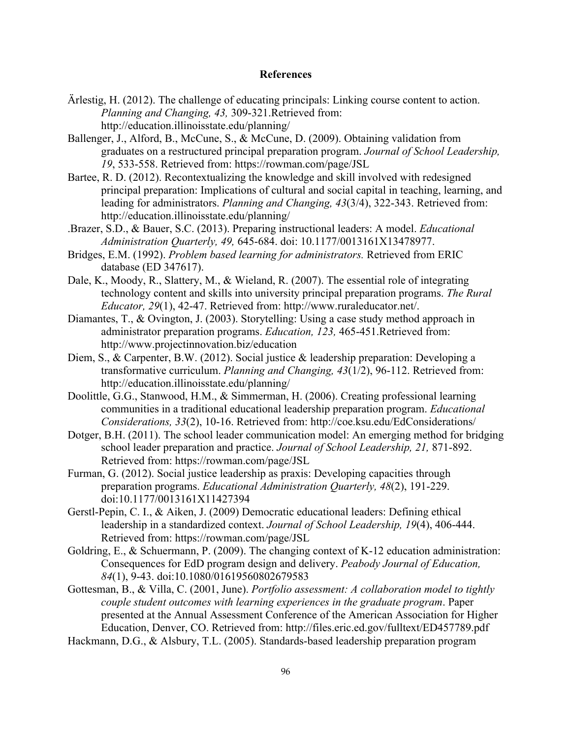# **References**

- Ärlestig, H. (2012). The challenge of educating principals: Linking course content to action. *Planning and Changing, 43,* 309-321.Retrieved from: http://education.illinoisstate.edu/planning/
- Ballenger, J., Alford, B., McCune, S., & McCune, D. (2009). Obtaining validation from graduates on a restructured principal preparation program. *Journal of School Leadership, 19*, 533-558. Retrieved from: https://rowman.com/page/JSL
- Bartee, R. D. (2012). Recontextualizing the knowledge and skill involved with redesigned principal preparation: Implications of cultural and social capital in teaching, learning, and leading for administrators. *Planning and Changing, 43*(3/4), 322-343. Retrieved from: http://education.illinoisstate.edu/planning/
- .Brazer, S.D., & Bauer, S.C. (2013). Preparing instructional leaders: A model. *Educational Administration Quarterly, 49,* 645-684. doi: 10.1177/0013161X13478977.
- Bridges, E.M. (1992). *Problem based learning for administrators.* Retrieved from ERIC database (ED 347617).
- Dale, K., Moody, R., Slattery, M., & Wieland, R. (2007). The essential role of integrating technology content and skills into university principal preparation programs. *The Rural Educator, 29*(1), 42-47. Retrieved from: http://www.ruraleducator.net/.
- Diamantes, T., & Ovington, J. (2003). Storytelling: Using a case study method approach in administrator preparation programs. *Education, 123,* 465-451.Retrieved from: http://www.projectinnovation.biz/education
- Diem, S., & Carpenter, B.W. (2012). Social justice & leadership preparation: Developing a transformative curriculum. *Planning and Changing, 43*(1/2), 96-112. Retrieved from: http://education.illinoisstate.edu/planning/
- Doolittle, G.G., Stanwood, H.M., & Simmerman, H. (2006). Creating professional learning communities in a traditional educational leadership preparation program. *Educational Considerations, 33*(2), 10-16. Retrieved from: http://coe.ksu.edu/EdConsiderations/
- Dotger, B.H. (2011). The school leader communication model: An emerging method for bridging school leader preparation and practice. *Journal of School Leadership, 21,* 871-892. Retrieved from: https://rowman.com/page/JSL
- Furman, G. (2012). Social justice leadership as praxis: Developing capacities through preparation programs. *Educational Administration Quarterly, 48*(2), 191-229. doi:10.1177/0013161X11427394
- Gerstl-Pepin, C. I., & Aiken, J. (2009) Democratic educational leaders: Defining ethical leadership in a standardized context. *Journal of School Leadership, 19*(4), 406-444. Retrieved from: https://rowman.com/page/JSL
- Goldring, E., & Schuermann, P. (2009). The changing context of K-12 education administration: Consequences for EdD program design and delivery. *Peabody Journal of Education, 84*(1), 9-43. doi:10.1080/01619560802679583
- Gottesman, B., & Villa, C. (2001, June). *Portfolio assessment: A collaboration model to tightly couple student outcomes with learning experiences in the graduate program*. Paper presented at the Annual Assessment Conference of the American Association for Higher Education, Denver, CO. Retrieved from: http://files.eric.ed.gov/fulltext/ED457789.pdf
- Hackmann, D.G., & Alsbury, T.L. (2005). Standards-based leadership preparation program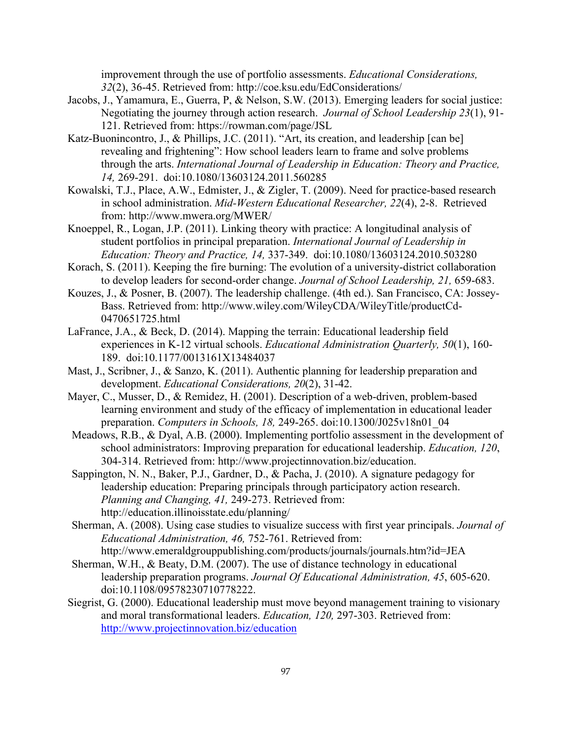improvement through the use of portfolio assessments. *Educational Considerations, 32*(2), 36-45. Retrieved from: http://coe.ksu.edu/EdConsiderations/

- Jacobs, J., Yamamura, E., Guerra, P, & Nelson, S.W. (2013). Emerging leaders for social justice: Negotiating the journey through action research. *Journal of School Leadership 23*(1), 91- 121. Retrieved from: https://rowman.com/page/JSL
- Katz-Buonincontro, J., & Phillips, J.C. (2011). "Art, its creation, and leadership [can be] revealing and frightening": How school leaders learn to frame and solve problems through the arts. *International Journal of Leadership in Education: Theory and Practice, 14,* 269-291. doi:10.1080/13603124.2011.560285
- Kowalski, T.J., Place, A.W., Edmister, J., & Zigler, T. (2009). Need for practice-based research in school administration. *Mid-Western Educational Researcher, 22*(4), 2-8. Retrieved from: http://www.mwera.org/MWER/
- Knoeppel, R., Logan, J.P. (2011). Linking theory with practice: A longitudinal analysis of student portfolios in principal preparation. *International Journal of Leadership in Education: Theory and Practice, 14,* 337-349. doi:10.1080/13603124.2010.503280
- Korach, S. (2011). Keeping the fire burning: The evolution of a university-district collaboration to develop leaders for second-order change. *Journal of School Leadership, 21,* 659-683.
- Kouzes, J., & Posner, B. (2007). The leadership challenge. (4th ed.). San Francisco, CA: Jossey-Bass. Retrieved from: http://www.wiley.com/WileyCDA/WileyTitle/productCd-0470651725.html
- LaFrance, J.A., & Beck, D. (2014). Mapping the terrain: Educational leadership field experiences in K-12 virtual schools. *Educational Administration Quarterly, 50*(1), 160- 189. doi:10.1177/0013161X13484037
- Mast, J., Scribner, J., & Sanzo, K. (2011). Authentic planning for leadership preparation and development. *Educational Considerations, 20*(2), 31-42.
- Mayer, C., Musser, D., & Remidez, H. (2001). Description of a web-driven, problem-based learning environment and study of the efficacy of implementation in educational leader preparation. *Computers in Schools, 18,* 249-265. doi:10.1300/J025v18n01\_04
- Meadows, R.B., & Dyal, A.B. (2000). Implementing portfolio assessment in the development of school administrators: Improving preparation for educational leadership. *Education, 120*, 304-314. Retrieved from: http://www.projectinnovation.biz/education.
- Sappington, N. N., Baker, P.J., Gardner, D., & Pacha, J. (2010). A signature pedagogy for leadership education: Preparing principals through participatory action research. *Planning and Changing, 41,* 249-273. Retrieved from: http://education.illinoisstate.edu/planning/
- Sherman, A. (2008). Using case studies to visualize success with first year principals. *Journal of Educational Administration, 46,* 752-761. Retrieved from: http://www.emeraldgrouppublishing.com/products/journals/journals.htm?id=JEA
- Sherman, W.H., & Beaty, D.M. (2007). The use of distance technology in educational leadership preparation programs. *Journal Of Educational Administration, 45*, 605-620. doi:10.1108/09578230710778222.
- Siegrist, G. (2000). Educational leadership must move beyond management training to visionary and moral transformational leaders. *Education, 120,* 297-303. Retrieved from: http://www.projectinnovation.biz/education